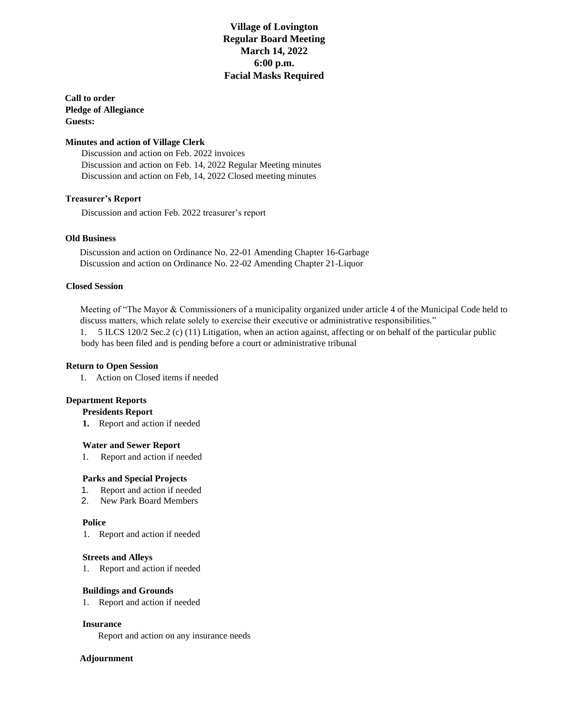## **Village of Lovington Regular Board Meeting March 14, 2022 6:00 p.m. Facial Masks Required**

 **Call to order Pledge of Allegiance Guests:** 

### **Minutes and action of Village Clerk**

 Discussion and action on Feb. 2022 invoices Discussion and action on Feb. 14, 2022 Regular Meeting minutes Discussion and action on Feb, 14, 2022 Closed meeting minutes

#### **Treasurer's Report**

Discussion and action Feb. 2022 treasurer's report

### **Old Business**

Discussion and action on Ordinance No. 22-01 Amending Chapter 16-Garbage Discussion and action on Ordinance No. 22-02 Amending Chapter 21-Liquor

### **Closed Session**

 Meeting of "The Mayor & Commissioners of a municipality organized under article 4 of the Municipal Code held to discuss matters, which relate solely to exercise their executive or administrative responsibilities." 1. 5 ILCS 120/2 Sec.2 (c) (11) Litigation, when an action against, affecting or on behalf of the particular public

body has been filed and is pending before a court or administrative tribunal

#### **Return to Open Session**

1. Action on Closed items if needed

#### **Department Reports**

#### **Presidents Report**

**1.** Report and action if needed

#### **Water and Sewer Report**

1. Report and action if needed

### **Parks and Special Projects**

- 1. Report and action if needed
- 2. New Park Board Members

#### **Police**

1. Report and action if needed

#### **Streets and Alleys**

1. Report and action if needed

#### **Buildings and Grounds**

1. Report and action if needed

### **Insurance**

Report and action on any insurance needs

### **Adjournment**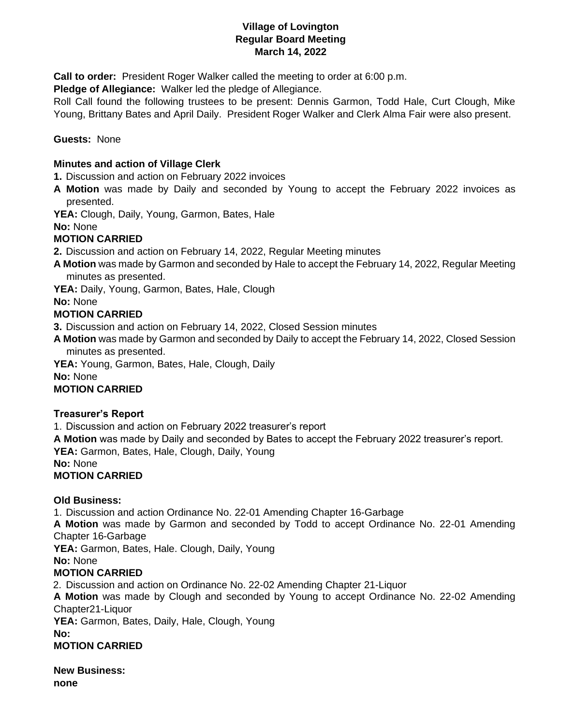## **Village of Lovington Regular Board Meeting March 14, 2022**

**Call to order:** President Roger Walker called the meeting to order at 6:00 p.m.

**Pledge of Allegiance:** Walker led the pledge of Allegiance.

Roll Call found the following trustees to be present: Dennis Garmon, Todd Hale, Curt Clough, Mike Young, Brittany Bates and April Daily. President Roger Walker and Clerk Alma Fair were also present.

## **Guests:** None

## **Minutes and action of Village Clerk**

**1.** Discussion and action on February 2022 invoices

**A Motion** was made by Daily and seconded by Young to accept the February 2022 invoices as presented.

**YEA:** Clough, Daily, Young, Garmon, Bates, Hale

**No:** None

## **MOTION CARRIED**

**2.** Discussion and action on February 14, 2022, Regular Meeting minutes

- **A Motion** was made by Garmon and seconded by Hale to accept the February 14, 2022, Regular Meeting minutes as presented.
- YEA: Daily, Young, Garmon, Bates, Hale, Clough

**No:** None

## **MOTION CARRIED**

**3.** Discussion and action on February 14, 2022, Closed Session minutes

**A Motion** was made by Garmon and seconded by Daily to accept the February 14, 2022, Closed Session minutes as presented.

**YEA:** Young, Garmon, Bates, Hale, Clough, Daily

**No:** None

# **MOTION CARRIED**

# **Treasurer's Report**

1. Discussion and action on February 2022 treasurer's report

**A Motion** was made by Daily and seconded by Bates to accept the February 2022 treasurer's report. YEA: Garmon, Bates, Hale, Clough, Daily, Young

**No:** None

# **MOTION CARRIED**

# **Old Business:**

1. Discussion and action Ordinance No. 22-01 Amending Chapter 16-Garbage **A Motion** was made by Garmon and seconded by Todd to accept Ordinance No. 22-01 Amending Chapter 16-Garbage **YEA:** Garmon, Bates, Hale. Clough, Daily, Young **No:** None **MOTION CARRIED** 2. Discussion and action on Ordinance No. 22-02 Amending Chapter 21-Liquor **A Motion** was made by Clough and seconded by Young to accept Ordinance No. 22-02 Amending Chapter21-Liquor **YEA:** Garmon, Bates, Daily, Hale, Clough, Young **No:** 

**MOTION CARRIED**

**New Business: none**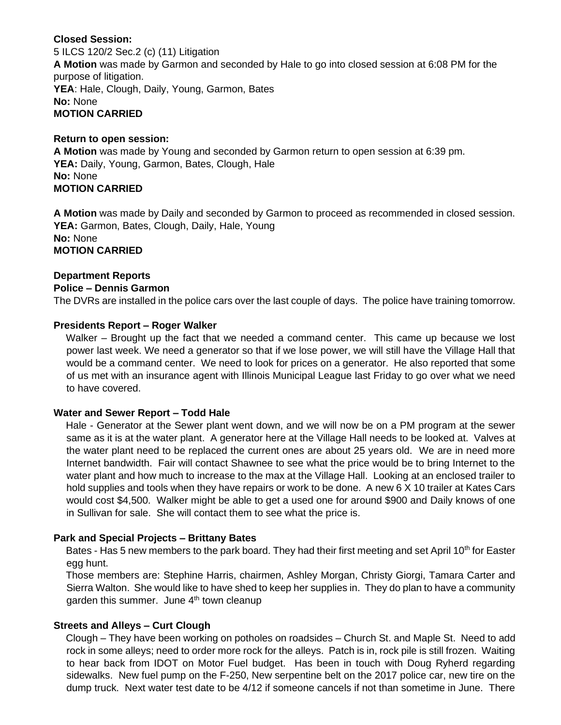## **Closed Session:**

5 ILCS 120/2 Sec.2 (c) (11) Litigation **A Motion** was made by Garmon and seconded by Hale to go into closed session at 6:08 PM for the purpose of litigation. **YEA**: Hale, Clough, Daily, Young, Garmon, Bates **No:** None **MOTION CARRIED**

## **Return to open session:**

**A Motion** was made by Young and seconded by Garmon return to open session at 6:39 pm. YEA: Daily, Young, Garmon, Bates, Clough, Hale **No:** None **MOTION CARRIED**

**A Motion** was made by Daily and seconded by Garmon to proceed as recommended in closed session. YEA: Garmon, Bates, Clough, Daily, Hale, Young **No:** None **MOTION CARRIED**

### **Department Reports**

### **Police – Dennis Garmon**

The DVRs are installed in the police cars over the last couple of days. The police have training tomorrow.

### **Presidents Report – Roger Walker**

Walker – Brought up the fact that we needed a command center. This came up because we lost power last week. We need a generator so that if we lose power, we will still have the Village Hall that would be a command center. We need to look for prices on a generator. He also reported that some of us met with an insurance agent with Illinois Municipal League last Friday to go over what we need to have covered.

## **Water and Sewer Report – Todd Hale**

Hale - Generator at the Sewer plant went down, and we will now be on a PM program at the sewer same as it is at the water plant. A generator here at the Village Hall needs to be looked at. Valves at the water plant need to be replaced the current ones are about 25 years old. We are in need more Internet bandwidth. Fair will contact Shawnee to see what the price would be to bring Internet to the water plant and how much to increase to the max at the Village Hall. Looking at an enclosed trailer to hold supplies and tools when they have repairs or work to be done. A new 6 X 10 trailer at Kates Cars would cost \$4,500. Walker might be able to get a used one for around \$900 and Daily knows of one in Sullivan for sale. She will contact them to see what the price is.

## **Park and Special Projects – Brittany Bates**

Bates - Has 5 new members to the park board. They had their first meeting and set April 10<sup>th</sup> for Easter egg hunt.

Those members are: Stephine Harris, chairmen, Ashley Morgan, Christy Giorgi, Tamara Carter and Sierra Walton. She would like to have shed to keep her supplies in. They do plan to have a community garden this summer. June  $4<sup>th</sup>$  town cleanup

## **Streets and Alleys – Curt Clough**

Clough – They have been working on potholes on roadsides – Church St. and Maple St. Need to add rock in some alleys; need to order more rock for the alleys. Patch is in, rock pile is still frozen. Waiting to hear back from IDOT on Motor Fuel budget. Has been in touch with Doug Ryherd regarding sidewalks. New fuel pump on the F-250, New serpentine belt on the 2017 police car, new tire on the dump truck. Next water test date to be 4/12 if someone cancels if not than sometime in June. There